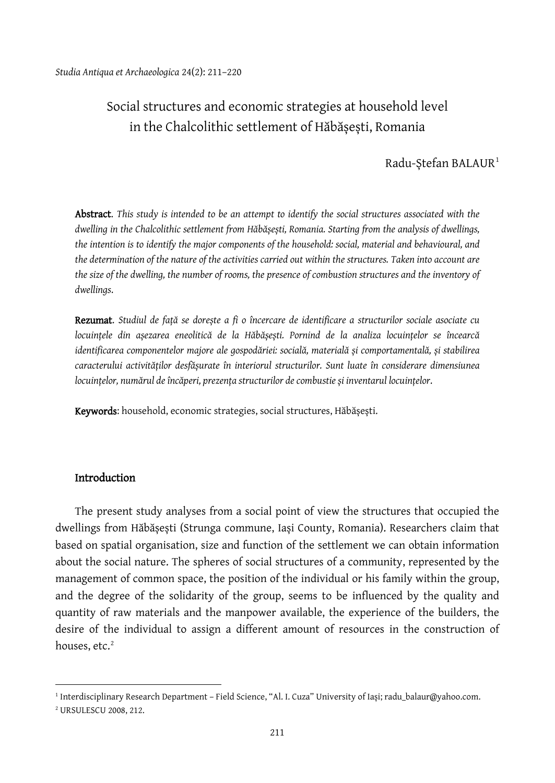# Social structures and economic strategies at household level in the Chalcolithic settlement of Hăbășești, Romania

### Radu-Stefan BALAUR<sup>[1](#page-0-0)</sup>

Abstract. *This study is intended to be an attempt to identify the social structures associated with the dwelling in the Chalcolithic settlement from Hăbășești, Romania. Starting from the analysis of dwellings, the intention is to identify the major components of the household: social, material and behavioural, and the determination of the nature of the activities carried out within the structures. Taken into account are the size of the dwelling, the number of rooms, the presence of combustion structures and the inventory of dwellings*.

Rezumat. *Studiul de față se dorește a fi o încercare de identificare a structurilor sociale asociate cu locuințele din așezarea eneolitică de la Hăbășești. Pornind de la analiza locuințelor se încearcă identificarea componentelor majore ale gospodăriei: socială, materială și comportamentală, și stabilirea caracterului activităților desfășurate în interiorul structurilor. Sunt luate în considerare dimensiunea locuințelor, numărul de încăperi, prezența structurilor de combustie și inventarul locuințelor*.

Keywords: household, economic strategies, social structures, Hăbășești.

### Introduction

The present study analyses from a social point of view the structures that occupied the dwellings from Hăbășești (Strunga commune, Iași County, Romania). Researchers claim that based on spatial organisation, size and function of the settlement we can obtain information about the social nature. The spheres of social structures of a community, represented by the management of common space, the position of the individual or his family within the group, and the degree of the solidarity of the group, seems to be influenced by the quality and quantity of raw materials and the manpower available, the experience of the builders, the desire of the individual to assign a different amount of resources in the construction of houses, etc. [2](#page-0-1)

<span id="page-0-0"></span><sup>1</sup> Interdisciplinary Research Department – Field Science, "Al. I. Cuza" University of Iași; radu\_balaur@yahoo.com.

<span id="page-0-1"></span><sup>2</sup> URSULESCU 2008, 212.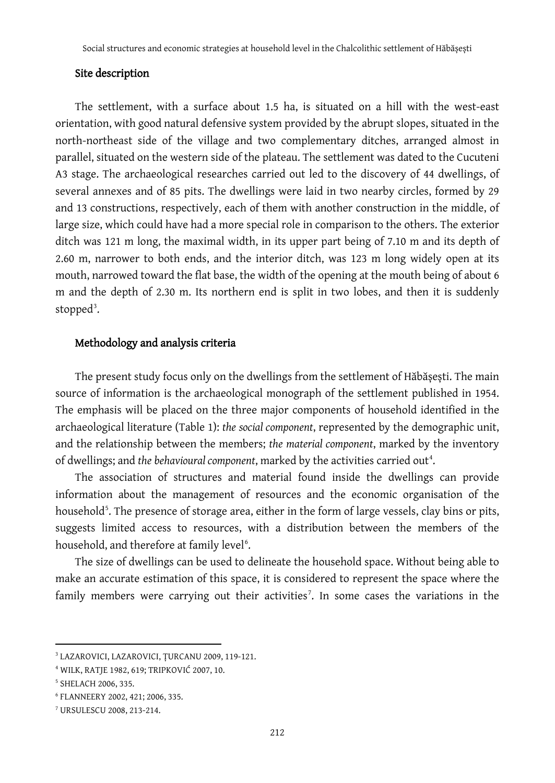#### Site description

The settlement, with a surface about 1.5 ha, is situated on a hill with the west-east orientation, with good natural defensive system provided by the abrupt slopes, situated in the north-northeast side of the village and two complementary ditches, arranged almost in parallel, situated on the western side of the plateau. The settlement was dated to the Cucuteni A3 stage. The archaeological researches carried out led to the discovery of 44 dwellings, of several annexes and of 85 pits. The dwellings were laid in two nearby circles, formed by 29 and 13 constructions, respectively, each of them with another construction in the middle, of large size, which could have had a more special role in comparison to the others. The exterior ditch was 121 m long, the maximal width, in its upper part being of 7.10 m and its depth of 2.60 m, narrower to both ends, and the interior ditch, was 123 m long widely open at its mouth, narrowed toward the flat base, the width of the opening at the mouth being of about 6 m and the depth of 2.30 m. Its northern end is split in two lobes, and then it is suddenly stopped<sup>[3](#page-1-0)</sup>.

#### Methodology and analysis criteria

The present study focus only on the dwellings from the settlement of Hăbășești. The main source of information is the archaeological monograph of the settlement published in 1954. The emphasis will be placed on the three major components of household identified in the archaeological literature (Table 1): *the social component*, represented by the demographic unit, and the relationship between the members; *the material component*, marked by the inventory of dwellings; and the behavioural component, marked by the activities carried out<sup>[4](#page-1-1)</sup>.

The association of structures and material found inside the dwellings can provide information about the management of resources and the economic organisation of the household<sup>[5](#page-1-2)</sup>. The presence of storage area, either in the form of large vessels, clay bins or pits, suggests limited access to resources, with a distribution between the members of the household, and therefore at family level<sup>[6](#page-1-3)</sup>.

The size of dwellings can be used to delineate the household space. Without being able to make an accurate estimation of this space, it is considered to represent the space where the family members were carrying out their activities<sup>[7](#page-1-4)</sup>. In some cases the variations in the

<span id="page-1-0"></span><sup>3</sup> LAZAROVICI, LAZAROVICI, ȚURCANU 2009, 119-121.

<span id="page-1-1"></span><sup>4</sup> WILK, RATJE 1982, 619; ТRIPKOVIĆ 2007, 10.

<span id="page-1-2"></span><sup>5</sup> SHELACH 2006, 335.

<span id="page-1-3"></span><sup>6</sup> FLANNEERY 2002, 421; 2006, 335.

<span id="page-1-4"></span><sup>7</sup> URSULESCU 2008, 213-214.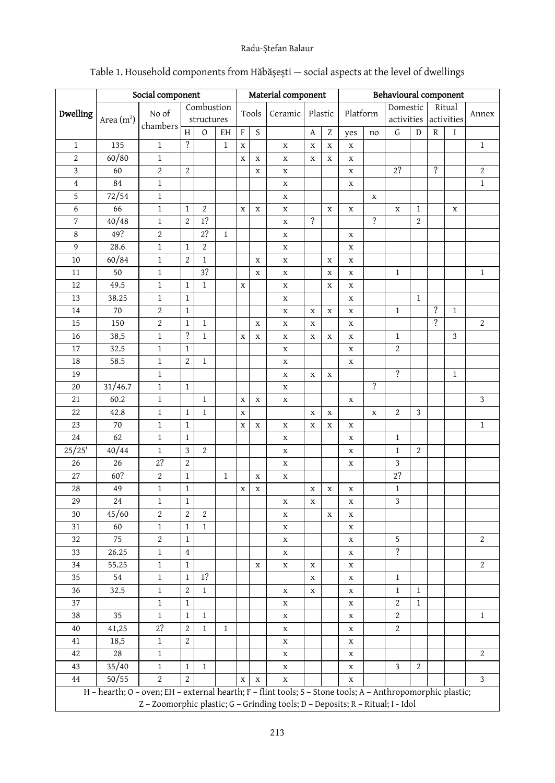### Radu-Ștefan Balaur

| Dwelling        | Social component                                                                                           |                                                                                |                          |              |              | Material component |             |             |                          |             | Behavioural component |                          |                           |                |                          |              |                  |
|-----------------|------------------------------------------------------------------------------------------------------------|--------------------------------------------------------------------------------|--------------------------|--------------|--------------|--------------------|-------------|-------------|--------------------------|-------------|-----------------------|--------------------------|---------------------------|----------------|--------------------------|--------------|------------------|
|                 |                                                                                                            | No of                                                                          | Combustion               |              |              | Tools              |             | Ceramic     | Plastic                  |             |                       |                          | Domestic<br>Ritual        |                |                          |              | Annex            |
|                 | Area (m <sup>2</sup> )                                                                                     | chambers                                                                       | structures               |              |              |                    |             |             |                          |             | Platform              |                          | activities                |                | activities               |              |                  |
|                 |                                                                                                            |                                                                                | H                        | $\circ$      | EH           | F                  | S           |             | A                        | Z           | yes                   | no                       | G                         | D              | R                        | Ι            |                  |
| $1\,$           | 135                                                                                                        | $\,1\,$                                                                        | $\overline{\mathcal{E}}$ |              | $\mathbf{1}$ | $\mathbf X$        |             | $\mathbf X$ | $\mathbf X$              | $\mathbf x$ | $\mathbf X$           |                          |                           |                |                          |              | $\mathbf{1}$     |
| $\overline{c}$  | 60/80                                                                                                      | $\mathbf 1$                                                                    |                          |              |              | X                  | $\mathbf X$ | $\mathbf X$ | $\mathbf X$              | $\mathbf X$ | X                     |                          |                           |                |                          |              |                  |
| 3               | 60                                                                                                         | $\sqrt{2}$                                                                     | $\boldsymbol{2}$         |              |              |                    | X           | X           |                          |             | X                     |                          | 2?                        |                | ?                        |              | $\boldsymbol{2}$ |
| $\bf 4$         | 84                                                                                                         | $\mathbf 1$                                                                    |                          |              |              |                    |             | $\mathbf X$ |                          |             | X                     |                          |                           |                |                          |              | $1\,$            |
| 5               | 72/54                                                                                                      | $\mathbf 1$                                                                    |                          |              |              |                    |             | X           |                          |             |                       | $\mathbf X$              |                           |                |                          |              |                  |
| 6               | 66                                                                                                         | $\,1\,$                                                                        | $\mathbf{1}$             | 2            |              | X                  | X           | X           |                          | X           | X                     |                          | X                         | $\mathbf{1}$   |                          | X            |                  |
| 7               | 40/48                                                                                                      | $\,1\,$                                                                        | $\mathbf{2}$             | 1?           |              |                    |             | X           | $\overline{\mathcal{E}}$ |             |                       | ?                        |                           | $\overline{2}$ |                          |              |                  |
| 8               | 49?                                                                                                        | $\boldsymbol{2}$                                                               |                          | 2?           | $\mathbf{1}$ |                    |             | X           |                          |             | X                     |                          |                           |                |                          |              |                  |
| 9               | 28.6                                                                                                       | $\mathbf{1}$                                                                   | $\mathbf{1}$             | 2            |              |                    |             | X           |                          |             | X                     |                          |                           |                |                          |              |                  |
| 10              | 60/84                                                                                                      | $\mathbf 1$                                                                    | $\mathbf{2}$             | $\mathbf{1}$ |              |                    | $\mathbf X$ | X           |                          | $\mathbf X$ | X                     |                          |                           |                |                          |              |                  |
| 11              | 50                                                                                                         | $\,1$                                                                          |                          | 3?           |              |                    | X           | X           |                          | X           | X                     |                          | $\mathbf{1}$              |                |                          |              | $\mathbf{1}$     |
| 12              | 49.5                                                                                                       | $\mathbf 1$                                                                    | $\mathbf 1$              | 1            |              | X                  |             | $\mathbf X$ |                          | X           | X                     |                          |                           |                |                          |              |                  |
| 13              | 38.25                                                                                                      | $\,1\,$                                                                        | $\mathbf{1}$             |              |              |                    |             | $\mathbf X$ |                          |             | X                     |                          |                           | $\mathbf{1}$   |                          |              |                  |
| 14              | $70\,$                                                                                                     | $\sqrt{2}$                                                                     | $1\,$                    |              |              |                    |             | $\mathbf X$ | X                        | $\mathbf X$ | X                     |                          | $\,1$                     |                | $\overline{\mathcal{E}}$ | $\mathbf{1}$ |                  |
| 15              | 150                                                                                                        | $\sqrt{2}$                                                                     | $\mathbf 1$              | 1            |              |                    | X           | X           | X                        |             | X                     |                          |                           |                | ?                        |              | $\boldsymbol{2}$ |
| 16              | 38,5                                                                                                       | $\mathbf{1}$                                                                   | ?                        | 1            |              | $\mathbf x$        | X           | X           | $\mathbf X$              | $\mathbf X$ | X                     |                          | $\mathbf{1}$              |                |                          | 3            |                  |
| 17              | 32.5                                                                                                       | $\mathbf 1$                                                                    | $\mathbf{1}$             |              |              |                    |             | X           |                          |             | X                     |                          | $\overline{c}$            |                |                          |              |                  |
| 18              | 58.5                                                                                                       | $\mathbf 1$                                                                    | $\overline{c}$           | $\mathbf{1}$ |              |                    |             | X           |                          |             | $\mathbf x$           |                          |                           |                |                          |              |                  |
| 19              |                                                                                                            | $\,1$                                                                          |                          |              |              |                    |             | X           | X                        | $\mathbf x$ |                       |                          | $\overline{\cdot}$        |                |                          | $\mathbf{1}$ |                  |
| 20              | 31/46.7                                                                                                    | $\,1\,$                                                                        | $\mathbf{1}$             |              |              |                    |             | X           |                          |             |                       | $\overline{\mathcal{E}}$ |                           |                |                          |              |                  |
| 21              | 60.2                                                                                                       | $\,1$                                                                          |                          | $\mathbf{1}$ |              | X                  | $\mathbf X$ | X           |                          |             | X                     |                          |                           |                |                          |              | 3                |
| 22              | 42.8                                                                                                       | $\mathbf{1}$                                                                   | $\mathbf{1}$             | 1            |              | X                  |             |             | X                        | X           |                       | $\mathbf X$              | $\boldsymbol{2}$          | 3              |                          |              |                  |
| 23              | 70                                                                                                         | $\mathbf 1$                                                                    | $1\,$                    |              |              | X                  | $\mathbf X$ | X           | $\mathbf X$              | $\mathbf X$ | X                     |                          |                           |                |                          |              | $1\,$            |
| 24              | 62                                                                                                         | $\mathbf 1$                                                                    | $\mathbf{1}$             |              |              |                    |             | $\mathbf X$ |                          |             | $\mathbf x$           |                          | $\mathbf{1}$              |                |                          |              |                  |
| 25/25'          | 40/44                                                                                                      | $\,1\,$                                                                        | 3                        | 2            |              |                    |             | X           |                          |             | X                     |                          | $\mathbf 1$               | 2              |                          |              |                  |
| 26              | 26                                                                                                         | 2?                                                                             | $\mathbf{2}$             |              |              |                    |             | X           |                          |             | X                     |                          | $\ensuremath{\mathsf{3}}$ |                |                          |              |                  |
| 27              | 60?                                                                                                        | $\boldsymbol{2}$                                                               | $\mathbf{1}$             |              | $\mathbf{1}$ |                    | $\mathbf X$ | X           |                          |             |                       |                          | $2?$                      |                |                          |              |                  |
| 28              | 49                                                                                                         | $\mathbf{1}$                                                                   | $\mathbf{1}$             |              |              | X                  | X           |             | X                        | X           | X                     |                          | $\mathbf{1}$              |                |                          |              |                  |
| 29              | 24                                                                                                         | $\,1\,$                                                                        | $\mathbf{1}$             |              |              |                    |             | X           | $\mathbf X$              |             | X                     |                          | 3                         |                |                          |              |                  |
| 30              | 45/60                                                                                                      | $\sqrt{2}$                                                                     | $\boldsymbol{2}$         | 2            |              |                    |             | X           |                          | $\mathbf X$ | X                     |                          |                           |                |                          |              |                  |
| 31              | 60                                                                                                         | $\mathbf{1}$                                                                   | $\mathbf{1}$             | $\mathbf{1}$ |              |                    |             | X           |                          |             | X                     |                          |                           |                |                          |              |                  |
| 32              | 75                                                                                                         | $\sqrt{2}$                                                                     | $\mathbf{1}$             |              |              |                    |             | X           |                          |             | X                     |                          | 5                         |                |                          |              | $\sqrt{2}$       |
| 33              | 26.25                                                                                                      | $\,1\,$                                                                        | $\overline{4}$           |              |              |                    |             | X           |                          |             | X                     |                          | ?                         |                |                          |              |                  |
| 34              | 55.25                                                                                                      | $\,1$                                                                          | $\mathbf{1}$             |              |              |                    | X           | X           | X                        |             | X                     |                          |                           |                |                          |              | $\boldsymbol{2}$ |
| 35              | 54                                                                                                         | $\mathbf{1}$                                                                   | $\mathbf{1}$             | 1?           |              |                    |             |             | $\mathbf X$              |             | X                     |                          | $\mathbf{1}$              |                |                          |              |                  |
| 36              | 32.5                                                                                                       | $\mathbf 1$                                                                    | $\boldsymbol{2}$         | $\,1$        |              |                    |             | $\mathbf X$ | $\mathbf X$              |             | X                     |                          | $\mathbf 1$               | $1\,$          |                          |              |                  |
| $\overline{37}$ |                                                                                                            | $\,1$                                                                          | $\overline{1}$           |              |              |                    |             | X           |                          |             | X                     |                          | $\overline{\mathbf{2}}$   | $\overline{1}$ |                          |              |                  |
| 38              | 35                                                                                                         | $\,1\,$                                                                        | $\mathbf{1}$             | $\mathbf{1}$ |              |                    |             | X           |                          |             | X                     |                          | 2                         |                |                          |              | $\mathbf{1}$     |
| 40              | 41,25                                                                                                      | 2?                                                                             | 2                        | $\mathbf{1}$ | $\,1$        |                    |             | $\mathbf X$ |                          |             | X                     |                          | 2                         |                |                          |              |                  |
| 41              | 18,5                                                                                                       | $1\,$                                                                          | $\mathbf{2}$             |              |              |                    |             | $\mathbf X$ |                          |             | X                     |                          |                           |                |                          |              |                  |
| 42              | $28\,$                                                                                                     | $\mathbf{1}$                                                                   |                          |              |              |                    |             | $\mathbf X$ |                          |             | X                     |                          |                           |                |                          |              | 2                |
| 43              | 35/40                                                                                                      | $\,1$                                                                          | $\mathbf{1}$             | $\mathbf{1}$ |              |                    |             | $\mathbf X$ |                          |             | X                     |                          | 3                         | $\overline{c}$ |                          |              |                  |
| 44              | 50/55                                                                                                      | $\overline{c}$                                                                 | $\overline{2}$           |              |              | X                  | $\mathbf X$ | $\mathbf X$ |                          |             | X                     |                          |                           |                |                          |              | 3                |
|                 | H - hearth; O - oven; EH - external hearth; F - flint tools; S - Stone tools; A - Anthropomorphic plastic; | Z - Zoomorphic plastic; G - Grinding tools; D - Deposits; R - Ritual; I - Idol |                          |              |              |                    |             |             |                          |             |                       |                          |                           |                |                          |              |                  |

## Table 1. Household components from Hăbășești — social aspects at the level of dwellings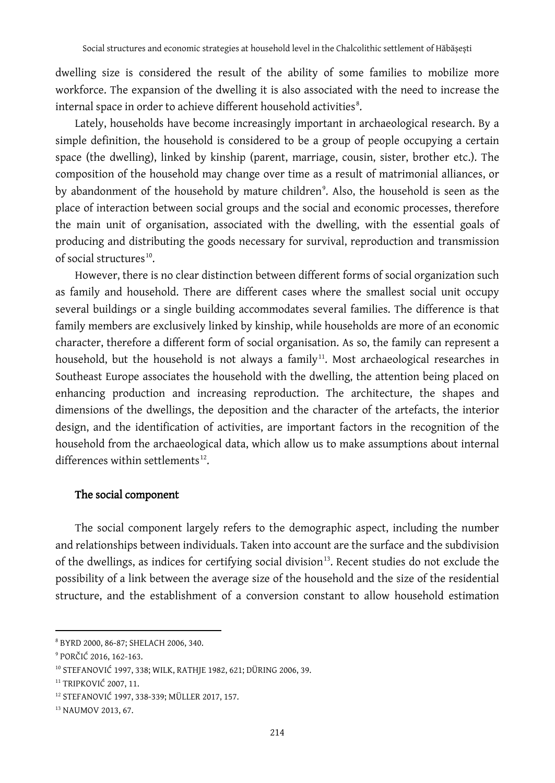dwelling size is considered the result of the ability of some families to mobilize more workforce. The expansion of the dwelling it is also associated with the need to increase the internal space in order to achieve different household activities $^{\rm 8}.$  $^{\rm 8}.$  $^{\rm 8}.$ 

Lately, households have become increasingly important in archaeological research. By a simple definition, the household is considered to be a group of people occupying a certain space (the dwelling), linked by kinship (parent, marriage, cousin, sister, brother etc.). The composition of the household may change over time as a result of matrimonial alliances, or by abandonment of the household by mature children°. Also, the household is seen as the place of interaction between social groups and the social and economic processes, therefore the main unit of organisation, associated with the dwelling, with the essential goals of producing and distributing the goods necessary for survival, reproduction and transmission of social structures<sup>[10](#page-3-2)</sup>.

However, there is no clear distinction between different forms of social organization such as family and household. There are different cases where the smallest social unit occupy several buildings or a single building accommodates several families. The difference is that family members are exclusively linked by kinship, while households are more of an economic character, therefore a different form of social organisation. As so, the family can represent a household, but the household is not always a family<sup>[11](#page-3-3)</sup>. Most archaeological researches in Southeast Europe associates the household with the dwelling, the attention being placed on enhancing production and increasing reproduction. The architecture, the shapes and dimensions of the dwellings, the deposition and the character of the artefacts, the interior design, and the identification of activities, are important factors in the recognition of the household from the archaeological data, which allow us to make assumptions about internal differences within settlements $^{12}$ .

#### The social component

The social component largely refers to the demographic aspect, including the number and relationships between individuals. Taken into account are the surface and the subdivision of the dwellings, as indices for certifying social division<sup>[13](#page-3-5)</sup>. Recent studies do not exclude the possibility of a link between the average size of the household and the size of the residential structure, and the establishment of a conversion constant to allow household estimation

<span id="page-3-0"></span><sup>8</sup> BYRD 2000, 86-87; SHELACH 2006, 340.

<span id="page-3-1"></span><sup>9</sup> PORČIĆ 2016, 162-163.

<span id="page-3-2"></span><sup>10</sup> STEFANOVIĆ 1997, 338; WILK, RATHJE 1982, 621; DÜRING 2006, 39.

<span id="page-3-3"></span><sup>&</sup>lt;sup>11</sup> TRIPKOVIĆ 2007, 11.

<span id="page-3-4"></span><sup>12</sup> STEFANOVIĆ 1997, 338-339; MÜLLER 2017, 157.

<span id="page-3-5"></span><sup>13</sup> NAUMOV 2013, 67.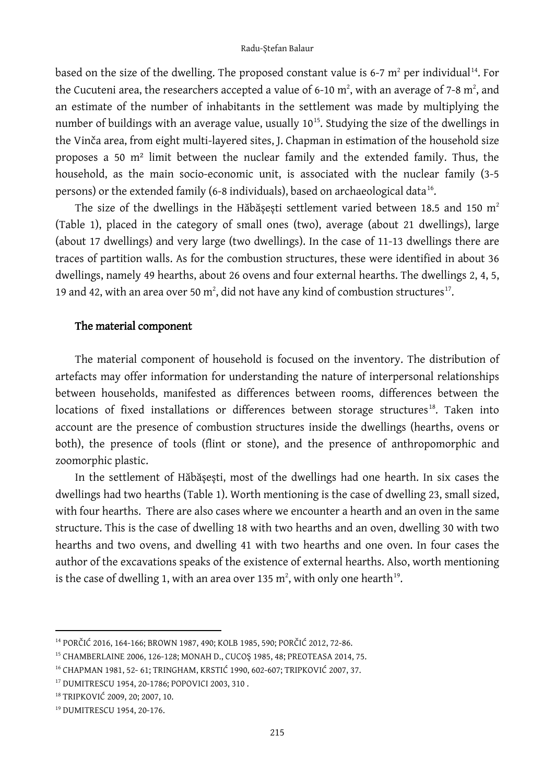based on the size of the dwelling. The proposed constant value is 6-7  $m^2$  per individual<sup>14</sup>. For the Cucuteni area, the researchers accepted a value of 6-10  $\mathrm{m}^{2}$ , with an average of 7-8  $\mathrm{m}^{2}$ , and an estimate of the number of inhabitants in the settlement was made by multiplying the number of buildings with an average value, usually  $10^{15}$  $10^{15}$  $10^{15}$ . Studying the size of the dwellings in the Vinča area, from eight multi-layered sites, J. Chapman in estimation of the household size proposes a 50 m² limit between the nuclear family and the extended family. Thus, the household, as the main socio-economic unit, is associated with the nuclear family (3-5 persons) or the extended family (6-8 individuals), based on archaeological data<sup>16</sup>.

The size of the dwellings in the Hăbășești settlement varied between 18.5 and 150  $m<sup>2</sup>$ (Table 1), placed in the category of small ones (two), average (about 21 dwellings), large (about 17 dwellings) and very large (two dwellings). In the case of 11-13 dwellings there are traces of partition walls. As for the combustion structures, these were identified in about 36 dwellings, namely 49 hearths, about 26 ovens and four external hearths. The dwellings 2, 4, 5, 19 and 42, with an area over 50  $\mathrm{m}^2$ , did not have any kind of combustion structures $^{17}$  $^{17}$  $^{17}$ .

#### The material component

The material component of household is focused on the inventory. The distribution of artefacts may offer information for understanding the nature of interpersonal relationships between households, manifested as differences between rooms, differences between the locations of fixed installations or differences between storage structures<sup>[18](#page-4-4)</sup>. Taken into account are the presence of combustion structures inside the dwellings (hearths, ovens or both), the presence of tools (flint or stone), and the presence of anthropomorphic and zoomorphic plastic.

In the settlement of Hăbășești, most of the dwellings had one hearth. In six cases the dwellings had two hearths (Table 1). Worth mentioning is the case of dwelling 23, small sized, with four hearths. There are also cases where we encounter a hearth and an oven in the same structure. This is the case of dwelling 18 with two hearths and an oven, dwelling 30 with two hearths and two ovens, and dwelling 41 with two hearths and one oven. In four cases the author of the excavations speaks of the existence of external hearths. Also, worth mentioning is the case of dwelling 1, with an area over 135  $\mathrm{m}^2$ , with only one hearth $^\mathrm{19}$  $^\mathrm{19}$  $^\mathrm{19}$ .

<span id="page-4-0"></span><sup>14</sup> PORČIĆ 2016, 164-166; BROWN 1987, 490; KOLB 1985, 590; PORČIĆ 2012, 72-86.

<span id="page-4-1"></span><sup>&</sup>lt;sup>15</sup> CHAMBERLAINE 2006, 126-128; MONAH D., CUCOȘ 1985, 48; PREOTEASA 2014, 75.

<span id="page-4-2"></span><sup>16</sup> CHAPMAN 1981, 52- 61; TRINGHAM, KRSTIĆ 1990, 602-607; ТRIPKOVIĆ 2007, 37.

<span id="page-4-3"></span><sup>17</sup> DUMITRESCU 1954, 20-1786; POPOVICI 2003, 310 .

<span id="page-4-4"></span><sup>18</sup> ТRIPKOVIĆ 2009, 20; 2007, 10.

<span id="page-4-5"></span><sup>19</sup> DUMITRESCU 1954, 20-176.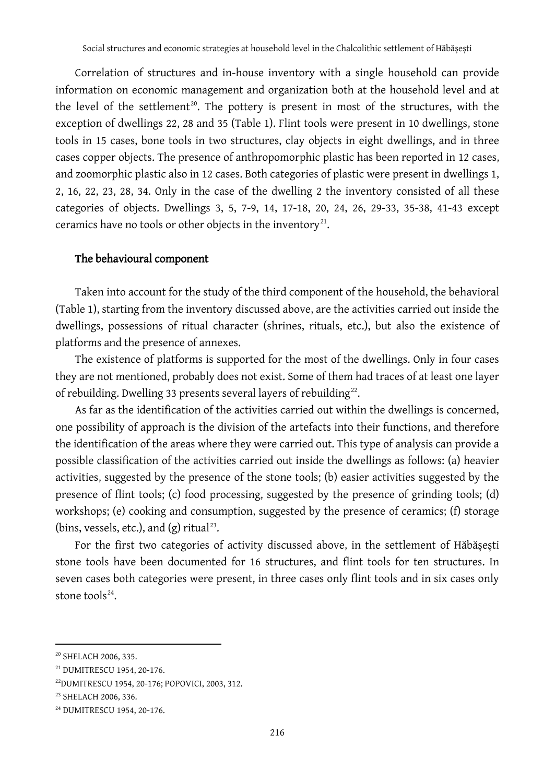Correlation of structures and in-house inventory with a single household can provide information on economic management and organization both at the household level and at the level of the settlement<sup>[20](#page-5-0)</sup>. The pottery is present in most of the structures, with the exception of dwellings 22, 28 and 35 (Table 1). Flint tools were present in 10 dwellings, stone tools in 15 cases, bone tools in two structures, clay objects in eight dwellings, and in three cases copper objects. The presence of anthropomorphic plastic has been reported in 12 cases, and zoomorphic plastic also in 12 cases. Both categories of plastic were present in dwellings 1, 2, 16, 22, 23, 28, 34. Only in the case of the dwelling 2 the inventory consisted of all these categories of objects. Dwellings 3, 5, 7-9, 14, 17-18, 20, 24, 26, 29-33, 35-38, 41-43 except ceramics have no tools or other objects in the inventory<sup>21</sup>.

#### The behavioural component

Taken into account for the study of the third component of the household, the behavioral (Table 1), starting from the inventory discussed above, are the activities carried out inside the dwellings, possessions of ritual character (shrines, rituals, etc.), but also the existence of platforms and the presence of annexes.

The existence of platforms is supported for the most of the dwellings. Only in four cases they are not mentioned, probably does not exist. Some of them had traces of at least one layer of rebuilding. Dwelling 33 presents several layers of rebuilding<sup>22</sup>.

As far as the identification of the activities carried out within the dwellings is concerned, one possibility of approach is the division of the artefacts into their functions, and therefore the identification of the areas where they were carried out. This type of analysis can provide a possible classification of the activities carried out inside the dwellings as follows: (a) heavier activities, suggested by the presence of the stone tools; (b) easier activities suggested by the presence of flint tools; (c) food processing, suggested by the presence of grinding tools; (d) workshops; (e) cooking and consumption, suggested by the presence of ceramics; (f) storage (bins, vessels, etc.), and  $(g)$  ritual<sup>[23](#page-5-3)</sup>.

For the first two categories of activity discussed above, in the settlement of Hăbășești stone tools have been documented for 16 structures, and flint tools for ten structures. In seven cases both categories were present, in three cases only flint tools and in six cases only stone tool $s^{24}$  $s^{24}$  $s^{24}$ .

<span id="page-5-0"></span><sup>20</sup> SHELACH 2006, 335.

<span id="page-5-1"></span><sup>21</sup> DUMITRESCU 1954, 20-176.

<span id="page-5-2"></span><sup>22</sup>DUMITRESCU 1954, 20-176; POPOVICI, 2003, 312.

<span id="page-5-3"></span><sup>&</sup>lt;sup>23</sup> SHELACH 2006, 336.

<span id="page-5-4"></span><sup>24</sup> DUMITRESCU 1954, 20-176.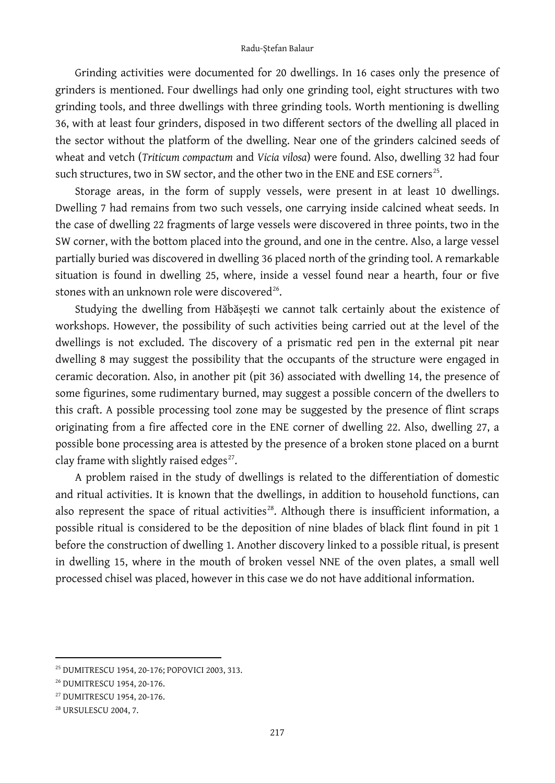#### Radu-Ștefan Balaur

Grinding activities were documented for 20 dwellings. In 16 cases only the presence of grinders is mentioned. Four dwellings had only one grinding tool, eight structures with two grinding tools, and three dwellings with three grinding tools. Worth mentioning is dwelling 36, with at least four grinders, disposed in two different sectors of the dwelling all placed in the sector without the platform of the dwelling. Near one of the grinders calcined seeds of wheat and vetch (*Triticum compactum* and *Vicia vilosa*) were found. Also, dwelling 32 had four such structures, two in SW sector, and the other two in the ENE and ESE corners<sup>[25](#page-6-0)</sup>.

Storage areas, in the form of supply vessels, were present in at least 10 dwellings. Dwelling 7 had remains from two such vessels, one carrying inside calcined wheat seeds. In the case of dwelling 22 fragments of large vessels were discovered in three points, two in the SW corner, with the bottom placed into the ground, and one in the centre. Also, a large vessel partially buried was discovered in dwelling 36 placed north of the grinding tool. A remarkable situation is found in dwelling 25, where, inside a vessel found near a hearth, four or five stones with an unknown role were discovered<sup>26</sup>.

Studying the dwelling from Hăbășești we cannot talk certainly about the existence of workshops. However, the possibility of such activities being carried out at the level of the dwellings is not excluded. The discovery of a prismatic red pen in the external pit near dwelling 8 may suggest the possibility that the occupants of the structure were engaged in ceramic decoration. Also, in another pit (pit 36) associated with dwelling 14, the presence of some figurines, some rudimentary burned, may suggest a possible concern of the dwellers to this craft. A possible processing tool zone may be suggested by the presence of flint scraps originating from a fire affected core in the ENE corner of dwelling 22. Also, dwelling 27, a possible bone processing area is attested by the presence of a broken stone placed on a burnt clay frame with slightly raised edges $^{27}$  $^{27}$  $^{27}$ .

A problem raised in the study of dwellings is related to the differentiation of domestic and ritual activities. It is known that the dwellings, in addition to household functions, can also represent the space of ritual activities $^{28}$  $^{28}$  $^{28}$ . Although there is insufficient information, a possible ritual is considered to be the deposition of nine blades of black flint found in pit 1 before the construction of dwelling 1. Another discovery linked to a possible ritual, is present in dwelling 15, where in the mouth of broken vessel NNE of the oven plates, a small well processed chisel was placed, however in this case we do not have additional information.

<span id="page-6-0"></span><sup>25</sup> DUMITRESCU 1954, 20-176; POPOVICI 2003, 313.

<span id="page-6-1"></span><sup>26</sup> DUMITRESCU 1954, 20-176.

<span id="page-6-2"></span><sup>27</sup> DUMITRESCU 1954, 20-176.

<span id="page-6-3"></span><sup>28</sup> URSULESCU 2004, 7.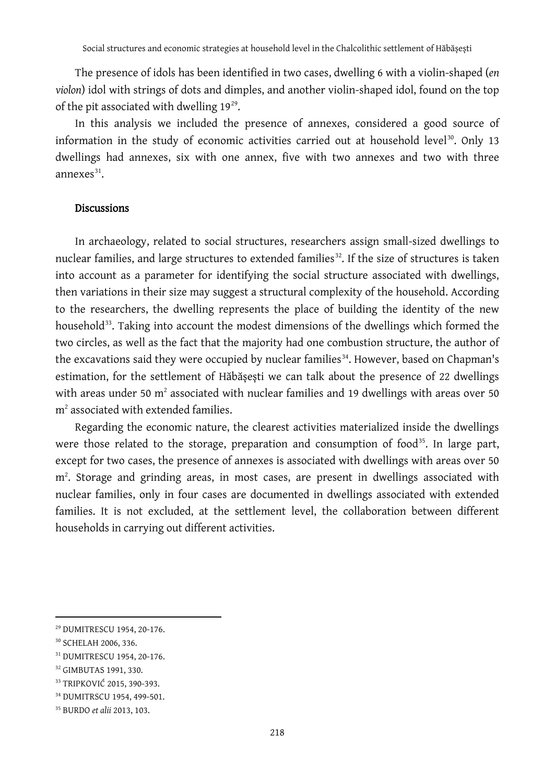The presence of idols has been identified in two cases, dwelling 6 with a violin-shaped (*en violon*) idol with strings of dots and dimples, and another violin-shaped idol, found on the top of the pit associated with dwelling  $19^{29}$  $19^{29}$  $19^{29}$ .

In this analysis we included the presence of annexes, considered a good source of information in the study of economic activities carried out at household level<sup>[30](#page-7-1)</sup>. Only 13 dwellings had annexes, six with one annex, five with two annexes and two with three annexes[31](#page-7-2).

#### **Discussions**

In archaeology, related to social structures, researchers assign small-sized dwellings to nuclear families, and large structures to extended families<sup>[32](#page-7-3)</sup>. If the size of structures is taken into account as a parameter for identifying the social structure associated with dwellings, then variations in their size may suggest a structural complexity of the household. According to the researchers, the dwelling represents the place of building the identity of the new household<sup>[33](#page-7-4)</sup>. Taking into account the modest dimensions of the dwellings which formed the two circles, as well as the fact that the majority had one combustion structure, the author of the excavations said they were occupied by nuclear families<sup>[34](#page-7-5)</sup>. However, based on Chapman's estimation, for the settlement of Hăbășești we can talk about the presence of 22 dwellings with areas under 50  $m^2$  associated with nuclear families and 19 dwellings with areas over 50 m2 associated with extended families.

Regarding the economic nature, the clearest activities materialized inside the dwellings were those related to the storage, preparation and consumption of food<sup>[35](#page-7-6)</sup>. In large part, except for two cases, the presence of annexes is associated with dwellings with areas over 50 m<sup>2</sup>. Storage and grinding areas, in most cases, are present in dwellings associated with nuclear families, only in four cases are documented in dwellings associated with extended families. It is not excluded, at the settlement level, the collaboration between different households in carrying out different activities.

<span id="page-7-0"></span><sup>29</sup> DUMITRESCU 1954, 20-176.

<span id="page-7-1"></span><sup>30</sup> SCHELAH 2006, 336.

<span id="page-7-2"></span><sup>31</sup> DUMITRESCU 1954, 20-176.

<span id="page-7-3"></span><sup>32</sup> GIMBUTAS 1991, 330.

<span id="page-7-4"></span><sup>33</sup> TRIPKOVIĆ 2015, 390-393.

<span id="page-7-5"></span><sup>34</sup> DUMITRSCU 1954, 499-501.

<span id="page-7-6"></span><sup>35</sup> BURDO *et alii* 2013, 103.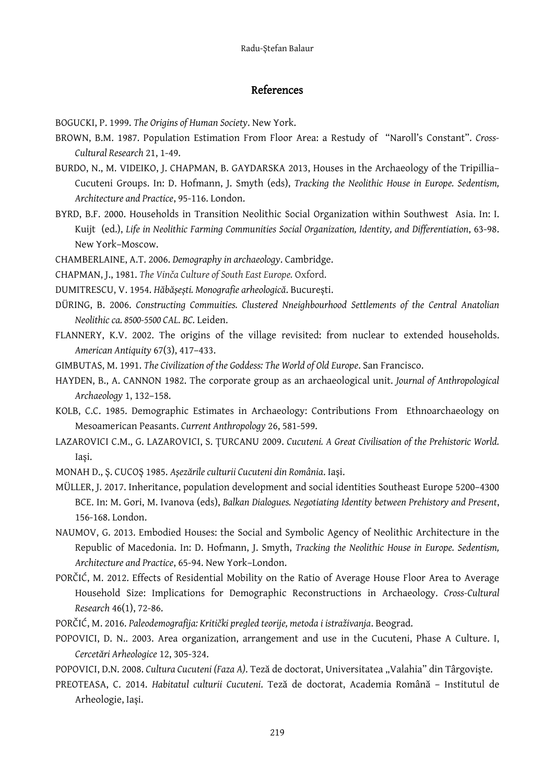#### References

BOGUCKI, P. 1999. *The Origins of Human Society*. New York.

- BROWN, B.M. 1987. Population Estimation From Floor Area: a Restudy of "Naroll's Constant". *Cross-Cultural Research* 21, 1-49.
- BURDO, N., M. VIDEIKO, J. CHAPMAN, B. GAYDARSKA 2013, Houses in the Archaeology of the Tripillia– Cucuteni Groups. In: D. Hofmann, J. Smyth (eds), *Tracking the Neolithic House in Europe. Sedentism, Architecture and Practice*, 95-116. London.
- BYRD, B.F. 2000. Households in Transition Neolithic Social Organization within Southwest Asia. In: I. Kuijt (ed.), *Life in Neolithic Farming Communities Social Organization, Identity, and Differentiation*, 63-98. New York–Moscow.

CHAMBERLAINE, A.T. 2006. *Demography in archaeology*. Cambridge.

CHAPMAN, J., 1981. *The Vinča Culture of South East Europe.* Oxford.

DUMITRESCU, V. 1954. *Hăbășești. Monografie arheologică*. București.

- DÜRING, B. 2006. *Constructing Commuities. Clustered Nneighbourhood Settlements of the Central Anatolian Neolithic ca. 8500-5500 CAL. BC.* Leiden.
- FLANNERY, K.V. 2002. The origins of the village revisited: from nuclear to extended households. *American Antiquity* 67(3), 417–433.
- GIMBUTAS, M. 1991. *The Civilization of the Goddess: The World of Old Europe*. San Francisco.
- HAYDEN, B., A. CANNON 1982. The corporate group as an archaeological unit. *Journal of Anthropological Archaeology* 1, 132–158.
- KOLB, C.C. 1985. Demographic Estimates in Archaeology: Contributions From Ethnoarchaeology on Mesoamerican Peasants. *Current Anthropology* 26, 581-599.
- LAZAROVICI C.M., G. LAZAROVICI, S. ȚURCANU 2009. *Cucuteni. A Great Civilisation of the Prehistoric World.* Iași.

MONAH D., Ș. CUCOȘ 1985. *Așezările culturii Cucuteni din România*. Iași.

- MÜLLER, J. 2017. Inheritance, population development and social identities Southeast Europe 5200–4300 BCE. In: M. Gori, M. Ivanova (eds), *Balkan Dialogues. Negotiating Identity between Prehistory and Present*, 156-168. London.
- NAUMOV, G. 2013. Embodied Houses: the Social and Symbolic Agency of Neolithic Architecture in the Republic of Macedonia. In: D. Hofmann, J. Smyth, *Tracking the Neolithic House in Europe. Sedentism, Architecture and Practice*, 65-94. New York–London.
- PORČIĆ, M. 2012. Effects of Residential Mobility on the Ratio of Average House Floor Area to Average Household Size: Implications for Demographic Reconstructions in Archaeology. *Cross-Cultural Research* 46(1), 72-86.
- PORČIĆ, M. 2016. *Paleodemografija: Kritički pregled teorije, metoda i istraživanja*. Beograd.
- POPOVICI, D. N.. 2003. Area organization, arrangement and use in the Cucuteni, Phase A Culture. I, *Cercetări Arheologice* 12, 305-324.
- POPOVICI, D.N. 2008. Cultura Cucuteni (Faza A). Teză de doctorat, Universitatea "Valahia" din Târgoviște.
- PREOTEASA, C. 2014. *Habitatul culturii Cucuteni*. Teză de doctorat, Academia Română Institutul de Arheologie, Iași.